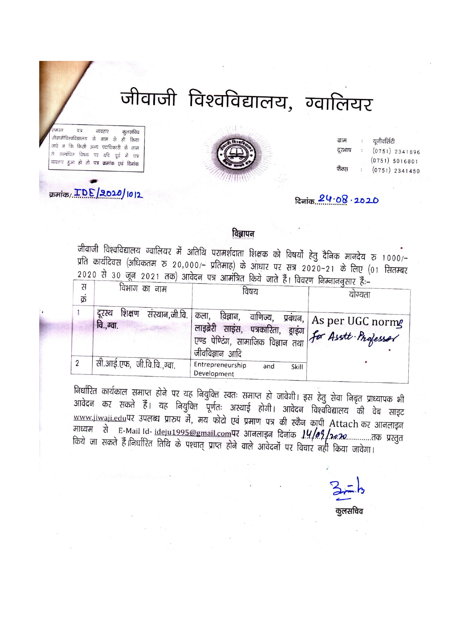# जीवाजी विश्वविद्यालय, ग्वालियर

 $\overline{u}$ व्यवहार कुलसचिव .<br>जीवाजीविश्वविद्यालय के नाम से ही किया जावे न कि किसी अन्य पदाधिकारी के नाम रो सम्बंधित विषय पर यदि पूर्व में पत्र व्यवहार हुआ हो तो पत्र क्रमांक एवं दिनांक

क्रमांक/ TDE 2020/1012



| ग्राम  | $\ddot{\phantom{a}}$    | यूनीवर्सिटी      |
|--------|-------------------------|------------------|
| दूरभाष | $\dddot{\phantom{1}}$ : | $(0751)$ 2341896 |
|        |                         | (0751) 5016801   |
| फैक्स  |                         | $(0751)$ 2341450 |
|        |                         |                  |

## दिनांक 24.08 . 2020

## विज्ञापन

जीवाजी विश्वविद्यालय ग्वालियर में अतिथि परामर्शदाता शिक्षक को विषयों हेतु दैनिक मानदेय रु 1000/– प्रति कार्यदिवस (अधिकतम रु २०,०००/– प्रतिमाह) के आधार पर सत्र २०२०–२१ के लिए (०१ सितम्बर 2020 से 30 जून 2021 तक) आवेदन पत्र आमंत्रित किये जाते हैं। विवरण निम्नाननुसार हैं:–

| स<br>क्र | विभाग का नाम                                   | विषय                                                                                                                   | याग्यता                                                                |
|----------|------------------------------------------------|------------------------------------------------------------------------------------------------------------------------|------------------------------------------------------------------------|
|          | शिक्षण<br>संस्थान,जी.वि.<br>दरस्य<br>वि.,ग्वा. | विज्ञान,<br>कला,<br>, लाइब्रेरी साइंस, पत्रकारिता, ड्राइंग  <br>एण्ड पेण्टिंग, सामाजिक विज्ञान तथा<br>, जीवविज्ञान आदि | वाणिज्य,    प्रबंधन,   As per UGC norm $\bm{g}$<br>for Asstt Professor |
|          | सी.आई.एफ, जी.वि.वि.,ग्वा.                      | Entrepreneurship<br>and<br>Skill<br>Development                                                                        |                                                                        |

निर्धारित कार्यकाल समाप्त होने पर यह नियुक्ति स्वतः समाप्त हो जावेगी। इस हेतु सेवा निबृत प्राध्यापक भी आवेदन कर सकते हैं। यह नियुक्ति पूर्णतः अस्थाई होगी। आवेदन विश्वविद्यालय की वेब साइट www.jiwaji.edu.पर उपलब्ध प्रारुप में, मय फोटो एवं प्रमाण पत्र की स्कैन कापी Attach कर आनलाइन माध्यम से E-Mail Id- ideju1995@gmail.comपर आनलाइन दिनांक 14/09/2020.............तक प्रस्तुत किये जा सकते हैं।निर्धारित तिथि के पश्चात् प्राप्त होने वाले आवेदनों पर विचार नहीं किया जावेगा।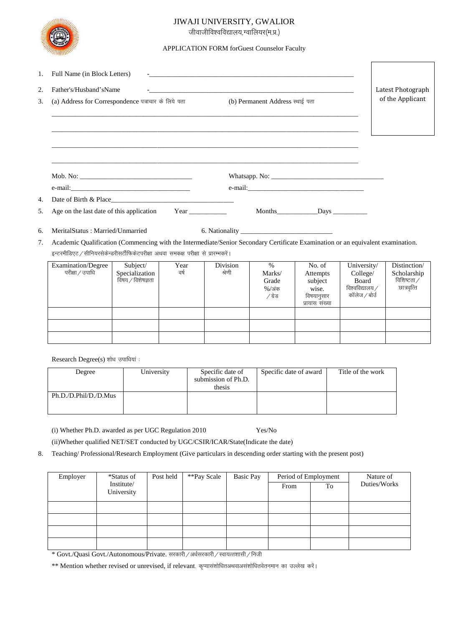

### JIWAJI UNIVERSITY, GWALIOR

जीवाजीविश्वविद्यालय,ग्वालियर(म.प्र.)

#### APPLICATION FORM forGuest Counselor Faculty

| 1.<br>2.<br>3.                                                                                                                                                                                                                                                         | Full Name (in Block Letters)<br>Father's/Husband'sName<br>(a) Address for Correspondence पत्राचार के लिये पता |                                                 | Latest Photograph<br>of the Applicant |                           |                                               |                                                                        |                                                                             |                                                           |
|------------------------------------------------------------------------------------------------------------------------------------------------------------------------------------------------------------------------------------------------------------------------|---------------------------------------------------------------------------------------------------------------|-------------------------------------------------|---------------------------------------|---------------------------|-----------------------------------------------|------------------------------------------------------------------------|-----------------------------------------------------------------------------|-----------------------------------------------------------|
| 4.<br>.5.                                                                                                                                                                                                                                                              | Age on the last date of this application                                                                      |                                                 | Year <u>and</u> Year                  |                           |                                               |                                                                        |                                                                             |                                                           |
| MeritalStatus: Married/Unmarried<br>6.<br>Academic Qualification (Commencing with the Intermediate/Senior Secondary Certificate Examination or an equivalent examination.<br>7.<br>इन्टरमीडिएट / सीनियरसेकेन्डरीसर्टीफिकेटपरीक्षा अथवा समकक्ष परीक्षा से प्रारम्भकरें। |                                                                                                               |                                                 |                                       |                           |                                               |                                                                        |                                                                             |                                                           |
|                                                                                                                                                                                                                                                                        | <b>Examination/Degree</b><br>परीक्षा / उपाधि                                                                  | Subject/<br>Specialization<br>विषय / विशेषज्ञता | Year<br>वर्ष                          | <b>Division</b><br>श्रेणी | $\%$<br>Marks/<br>Grade<br>$%$ /अंक<br>∕ग्रेड | No. of<br>Attempts<br>subject<br>wise.<br>विषयानुसार<br>प्रायास संख्या | University/<br>College/<br><b>Board</b><br>विश्वविद्यालय /<br>कॉलेज / बोर्उ | Distinction/<br>Scholarship<br>विशिष्टता /<br>छात्रवृत्ति |

Research Degree(s) शोध उपाधियां :

| Degree                | University | Specific date of<br>submission of Ph.D.<br>thesis | Specific date of award | Title of the work |
|-----------------------|------------|---------------------------------------------------|------------------------|-------------------|
| Ph.D./D.Phil/D./D.Mus |            |                                                   |                        |                   |

(i) Whether Ph.D. awarded as per UGC Regulation 2010  $\operatorname{Yes}/\operatorname{No}$ 

(ii) Whether qualified NET/SET conducted by UGC/CSIR/ICAR/State(Indicate the date)

8. Teaching/Professional/Research Employment (Give particulars in descending order starting with the present post)

| Employer | *Status of               | Post held | **Pay Scale | <b>Basic Pay</b> | Period of Employment |    | Nature of    |
|----------|--------------------------|-----------|-------------|------------------|----------------------|----|--------------|
|          | Institute/<br>University |           |             |                  | From                 | To | Duties/Works |
|          |                          |           |             |                  |                      |    |              |
|          |                          |           |             |                  |                      |    |              |
|          |                          |           |             |                  |                      |    |              |
|          |                          |           |             |                  |                      |    |              |

\* Govt./Quasi Govt./Autonomous/Private. सरकारी / अर्धसरकारी / स्वायत्तशासी / निजी

\*\* Mention whether revised or unrevised, if relevant. कृप्यासंशोधितअथवाअसंशोधितवेतनमान का उल्लेख करें।